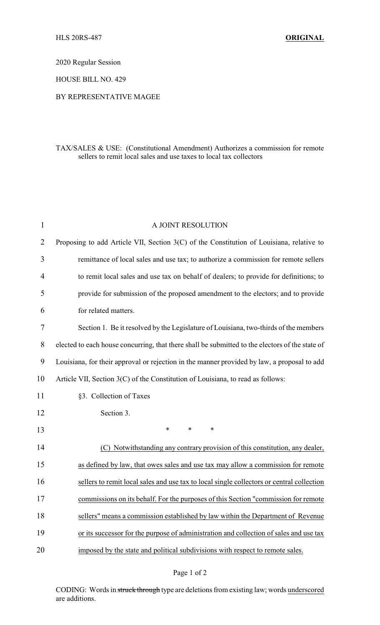2020 Regular Session

HOUSE BILL NO. 429

## BY REPRESENTATIVE MAGEE

## TAX/SALES & USE: (Constitutional Amendment) Authorizes a commission for remote sellers to remit local sales and use taxes to local tax collectors

| $\mathbf{1}$ | A JOINT RESOLUTION                                                                              |
|--------------|-------------------------------------------------------------------------------------------------|
| 2            | Proposing to add Article VII, Section 3(C) of the Constitution of Louisiana, relative to        |
| 3            | remittance of local sales and use tax; to authorize a commission for remote sellers             |
| 4            | to remit local sales and use tax on behalf of dealers; to provide for definitions; to           |
| 5            | provide for submission of the proposed amendment to the electors; and to provide                |
| 6            | for related matters.                                                                            |
| 7            | Section 1. Be it resolved by the Legislature of Louisiana, two-thirds of the members            |
| 8            | elected to each house concurring, that there shall be submitted to the electors of the state of |
| 9            | Louisiana, for their approval or rejection in the manner provided by law, a proposal to add     |
| 10           | Article VII, Section 3(C) of the Constitution of Louisiana, to read as follows:                 |
| 11           | §3. Collection of Taxes                                                                         |
| 12           | Section 3.                                                                                      |
| 13           | $\ast$<br>$\ast$<br>*                                                                           |
| 14           | (C) Notwithstanding any contrary provision of this constitution, any dealer,                    |
| 15           | as defined by law, that owes sales and use tax may allow a commission for remote                |
| 16           | sellers to remit local sales and use tax to local single collectors or central collection       |
| 17           | commissions on its behalf. For the purposes of this Section "commission for remote              |
| 18           | sellers" means a commission established by law within the Department of Revenue                 |
| 19           | or its successor for the purpose of administration and collection of sales and use tax          |
| 20           | imposed by the state and political subdivisions with respect to remote sales.                   |

## Page 1 of 2

CODING: Words in struck through type are deletions from existing law; words underscored are additions.